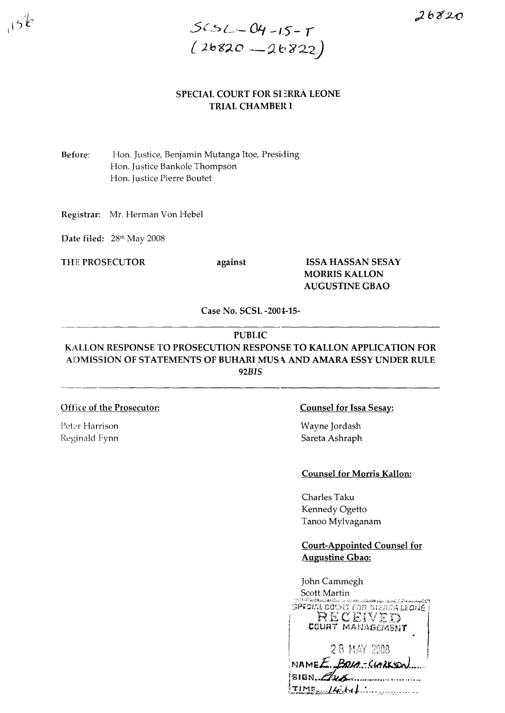

## SPECIAL COURT FOR SEERRA LEONE **TRIAL CHAMBER I**

Before: Hon. Justice, Benjamin Mutanga Itoe, Presiding Hon. Justice Bankole Thompson Hon. Justice Pierre Boutet

Registrar: Mr. Herman Von Hebel

Date filed: 28th May 2008

THE PROSECUTOR

 $15k$ 

against

# **ISSA HASSAN SESAY MORRIS KALLON AUGUSTINE GBAO**

Case No. SCSL-2004-15-

#### **PUBLIC**

# KALLON RESPONSE TO PROSECUTION RESPONSE TO KALLON APPLICATION FOR ADMISSION OF STATEMENTS OF BUHARI MUSA AND AMARA ESSY UNDER RULE **92BIS**

## **Office of the Prosecutor:**

Peter Harrison Reginald Fynn

#### **Counsel for Issa Sesay:**

Wayne Jordash Sareta Ashraph

#### **Counsel for Morris Kallon:**

Charles Taku Kennedy Ogetto Tanoo Mylvaganam

# **Court-Appointed Counsel for Augustine Gbao:**

| John Cammegh                                                                                                                |
|-----------------------------------------------------------------------------------------------------------------------------|
| Scott Martin                                                                                                                |
| W. A. Charles Level : Color Cast of the lands of the spine and spine in the whole the Tar<br>SPECIAL COURT FOR SIERRA LEONÉ |
| RECEIVED                                                                                                                    |
| COURT MANABEMENT                                                                                                            |
| 28 MAY 2008                                                                                                                 |
| $NAMEE.BQA-GAERS.$                                                                                                          |
| SISM.                                                                                                                       |
| $TIME_+/4.64$                                                                                                               |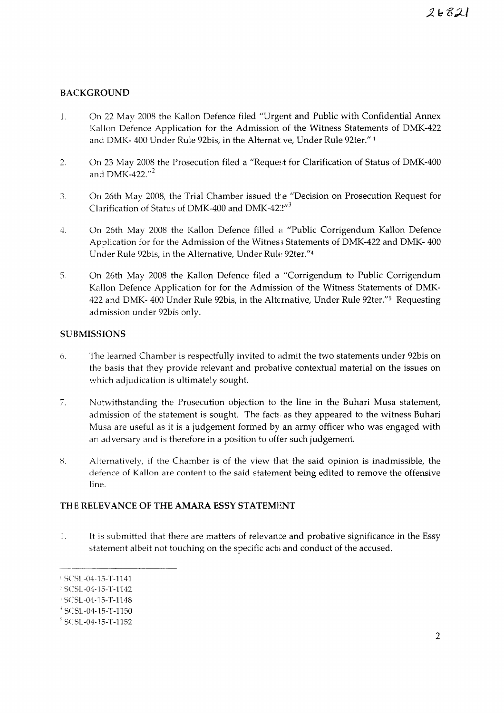# BACKGROUND

- On 22 May 2008 the Kallon Defence filed "Urgent and Public with Confidential Annex  $\mathbf{1}$ . Kallon Defence Application for the Admission of the Witness Statements of DMK-422 and DMK- 400 Under Rule 92bis, in the Alternat ve, Under Rule 92ter." <sup>1</sup>
- 2. On 23 May 2008 the Prosecution filed a "Request for Clarification of Status of DMK-400 and *DMK-422." <sup>2</sup>*
- 3. On 26th May 2008, the Trial Chamber issued the "Decision on Prosecution Request for Clarification of Status of DMK-400 and DMK-42:2"<sup>3</sup>
- 4. On 26th May 2008 the Kallon Defence filled a "Public Corrigendum Kallon Defence Application for for the Admission of the Witnes; Statements of DMK-422 and DMK- 400 Under Rule 92bis, in the Alternative, Under Rule 92ter."<sup>4</sup>
- 5. On 26th May 2008 the Kallon Defence filed a "Corrigendum to Public Corrigendum Kallon Defence Application for for the Admission of the Witness Statements of DMK-422 and DMK- 400 Under Rule 92bis, in the Alternative, Under Rule 92ter."<sup>5</sup> Requesting admission under 92bis only.

## **SUBMISSIONS**

- *b.* The learned Chamber is respectfully invited to admit the two statements under 92bis on the basis that they provide relevant and probalive contextual material on the issues on which adjudication is ultimately sought.
- 7. Notwithstanding the Prosecution objection to the line in the Buhari Musa statement, admission of the statement is sought. The facts as they appeared to the witness Buhari Musa are useful as it is a judgement formed by an army officer who was engaged with an adversary and is therefore in a position to offer such judgement.
- Alternatively, if the Chamber is of the view that the said opinion is inadmissible, the 8. defence of Kallon are content to the said statement being edited to remove the offensive line.

## THE RELEVANCE OF THE AMARA ESSY STATEMENT

1. It is submitted that there are matters of relevan:e and probative significance in the Essy statement albeit not touching on the specific acts and conduct of the accused.

 $\frac{1}{2}$  SCSL-04-15-T-1141

SCSL-04-15-T-1142

SCSL-04-15-T-1148

 $+$  SCSL-04-15-T-1150

 $S$  SCSL-04-15-T-1152